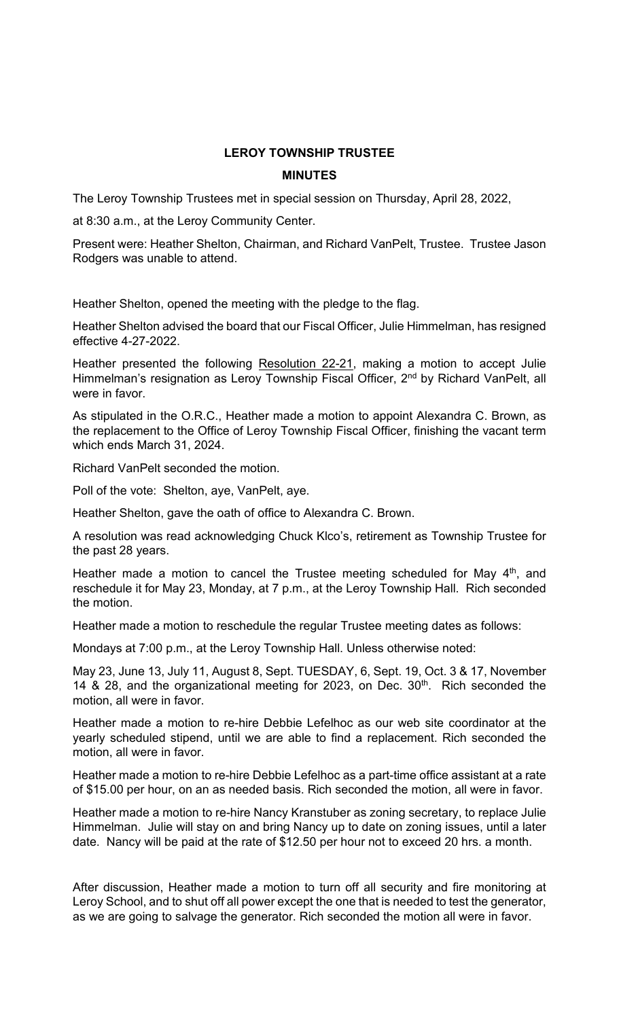## **LEROY TOWNSHIP TRUSTEE**

## **MINUTES**

The Leroy Township Trustees met in special session on Thursday, April 28, 2022,

at 8:30 a.m., at the Leroy Community Center.

Present were: Heather Shelton, Chairman, and Richard VanPelt, Trustee. Trustee Jason Rodgers was unable to attend.

Heather Shelton, opened the meeting with the pledge to the flag.

Heather Shelton advised the board that our Fiscal Officer, Julie Himmelman, has resigned effective 4-27-2022.

Heather presented the following Resolution 22-21, making a motion to accept Julie Himmelman's resignation as Leroy Township Fiscal Officer, 2<sup>nd</sup> by Richard VanPelt, all were in favor.

As stipulated in the O.R.C., Heather made a motion to appoint Alexandra C. Brown, as the replacement to the Office of Leroy Township Fiscal Officer, finishing the vacant term which ends March 31, 2024.

Richard VanPelt seconded the motion.

Poll of the vote: Shelton, aye, VanPelt, aye.

Heather Shelton, gave the oath of office to Alexandra C. Brown.

A resolution was read acknowledging Chuck Klco's, retirement as Township Trustee for the past 28 years.

Heather made a motion to cancel the Trustee meeting scheduled for May  $4<sup>th</sup>$ , and reschedule it for May 23, Monday, at 7 p.m., at the Leroy Township Hall. Rich seconded the motion.

Heather made a motion to reschedule the regular Trustee meeting dates as follows:

Mondays at 7:00 p.m., at the Leroy Township Hall. Unless otherwise noted:

May 23, June 13, July 11, August 8, Sept. TUESDAY, 6, Sept. 19, Oct. 3 & 17, November 14 & 28, and the organizational meeting for 2023, on Dec.  $30<sup>th</sup>$ . Rich seconded the motion, all were in favor.

Heather made a motion to re-hire Debbie Lefelhoc as our web site coordinator at the yearly scheduled stipend, until we are able to find a replacement. Rich seconded the motion, all were in favor.

Heather made a motion to re-hire Debbie Lefelhoc as a part-time office assistant at a rate of \$15.00 per hour, on an as needed basis. Rich seconded the motion, all were in favor.

Heather made a motion to re-hire Nancy Kranstuber as zoning secretary, to replace Julie Himmelman. Julie will stay on and bring Nancy up to date on zoning issues, until a later date. Nancy will be paid at the rate of \$12.50 per hour not to exceed 20 hrs. a month.

After discussion, Heather made a motion to turn off all security and fire monitoring at Leroy School, and to shut off all power except the one that is needed to test the generator, as we are going to salvage the generator. Rich seconded the motion all were in favor.